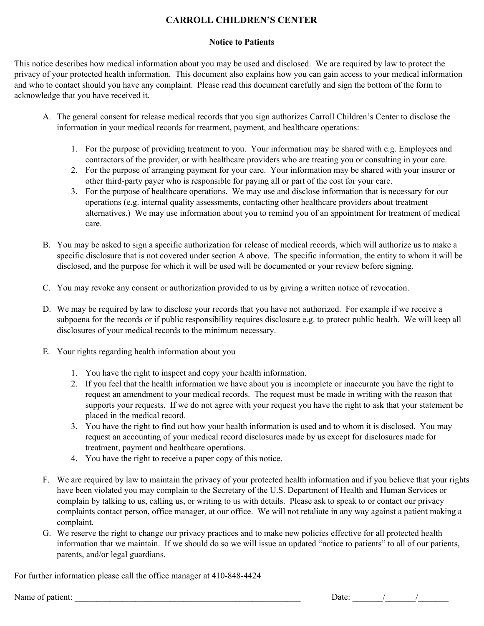## **CARROLL CHILDREN'S CENTER**

## **Notice to Patients**

This notice describes how medical information about you may be used and disclosed. We are required by law to protect the privacy of your protected health information. This document also explains how you can gain access to your medical information and who to contact should you have any complaint. Please read this document carefully and sign the bottom of the form to acknowledge that you have received it.

- A. The general consent for release medical records that you sign authorizes Carroll Children's Center to disclose the information in your medical records for treatment, payment, and healthcare operations:
	- 1. For the purpose of providing treatment to you. Your information may be shared with e.g. Employees and contractors of the provider, or with healthcare providers who are treating you or consulting in your care.
	- 2. For the purpose of arranging payment for your care. Your information may be shared with your insurer or other third-party payer who is responsible for paying all or part of the cost for your care.
	- 3. For the purpose of healthcare operations. We may use and disclose information that is necessary for our operations (e.g. internal quality assessments, contacting other healthcare providers about treatment alternatives.) We may use information about you to remind you of an appointment for treatment of medical care.
- B. You may be asked to sign a specific authorization for release of medical records, which will authorize us to make a specific disclosure that is not covered under section A above. The specific information, the entity to whom it will be disclosed, and the purpose for which it will be used will be documented or your review before signing.
- C. You may revoke any consent or authorization provided to us by giving a written notice of revocation.
- D. We may be required by law to disclose your records that you have not authorized. For example if we receive a subpoena for the records or if public responsibility requires disclosure e.g. to protect public health. We will keep all disclosures of your medical records to the minimum necessary.
- E. Your rights regarding health information about you
	- 1. You have the right to inspect and copy your health information.
	- 2. If you feel that the health information we have about you is incomplete or inaccurate you have the right to request an amendment to your medical records. The request must be made in writing with the reason that supports your requests. If we do not agree with your request you have the right to ask that your statement be placed in the medical record.
	- 3. You have the right to find out how your health information is used and to whom it is disclosed. You may request an accounting of your medical record disclosures made by us except for disclosures made for treatment, payment and healthcare operations.
	- 4. You have the right to receive a paper copy of this notice.
- F. We are required by law to maintain the privacy of your protected health information and if you believe that your rights have been violated you may complain to the Secretary of the U.S. Department of Health and Human Services or complain by talking to us, calling us, or writing to us with details. Please ask to speak to or contact our privacy complaints contact person, office manager, at our office. We will not retaliate in any way against a patient making a complaint.
- G. We reserve the right to change our privacy practices and to make new policies effective for all protected health information that we maintain. If we should do so we will issue an updated "notice to patients" to all of our patients, parents, and/or legal guardians.

For further information please call the office manager at 410-848-4424

Name of patient:  $\Box$